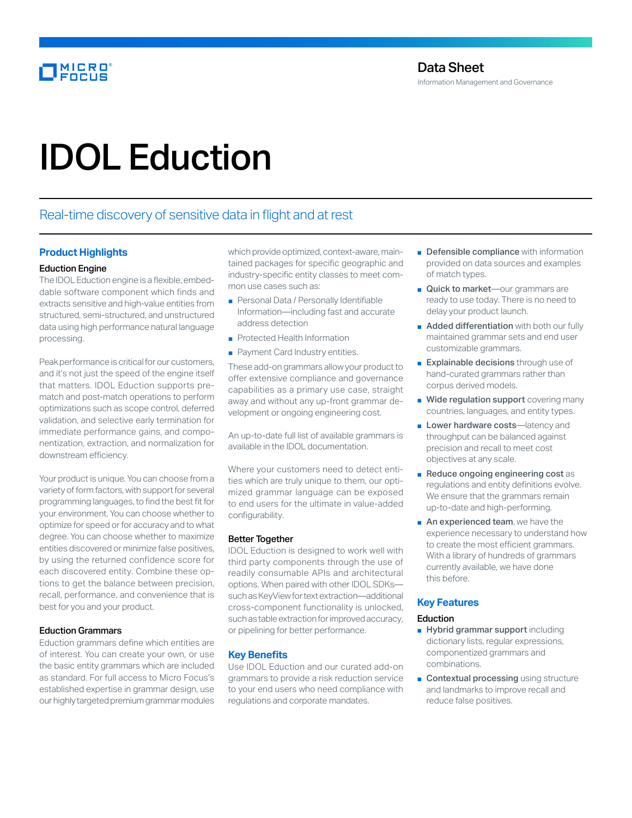# IDOL Eduction

# Real-time discovery of sensitive data in flight and at rest

# **Product Highlights**

# Eduction Engine

The IDOL Eduction engine is a flexible, embeddable software component which finds and extracts sensitive and high-value entities from structured, semi-structured, and unstructured data using high performance natural language processing.

Peak performance is critical for our customers, and it's not just the speed of the engine itself that matters. IDOL Eduction supports prematch and post-match operations to perform optimizations such as scope control, deferred validation, and selective early termination for immediate performance gains, and componentization, extraction, and normalization for downstream efficiency.

Your product is unique. You can choose from a variety of form factors, with support for several programming languages, to find the best fit for your environment. You can choose whether to optimize for speed or for accuracy and to what degree. You can choose whether to maximize entities discovered or minimize false positives, by using the returned confidence score for each discovered entity. Combine these options to get the balance between precision, recall, performance, and convenience that is best for you and your product.

### Eduction Grammars

Eduction grammars define which entities are of interest. You can create your own, or use the basic entity grammars which are included as standard. For full access to Micro Focus's established expertise in grammar design, use our highly targeted premium grammar modules

which provide optimized, context-aware, maintained packages for specific geographic and industry-specific entity classes to meet common use cases such as:

- Personal Data / Personally Identifiable Information—including fast and accurate address detection
- Protected Health Information
- Payment Card Industry entities.

These add-on grammars allow your product to offer extensive compliance and governance capabilities as a primary use case, straight away and without any up-front grammar development or ongoing engineering cost.

An up-to-date full list of available grammars is available in the IDOL documentation.

Where your customers need to detect entities which are truly unique to them, our optimized grammar language can be exposed to end users for the ultimate in value-added configurability.

### Better Together

IDOL Eduction is designed to work well with third party components through the use of readily consumable APIs and architectural options. When paired with other IDOL SDKs such as KeyView for text extraction—additional cross-component functionality is unlocked, such as table extraction for improved accuracy, or pipelining for better performance.

### **Key Benefits**

Use IDOL Eduction and our curated add-on grammars to provide a risk reduction service to your end users who need compliance with regulations and corporate mandates.

- Defensible compliance with information provided on data sources and examples of match types.
- Quick to market—our grammars are ready to use today. There is no need to delay your product launch.
- Added differentiation with both our fully maintained grammar sets and end user customizable grammars.
- Explainable decisions through use of hand-curated grammars rather than corpus derived models.
- Wide regulation support covering many countries, languages, and entity types.
- Lower hardware costs-latency and throughput can be balanced against precision and recall to meet cost objectives at any scale.
- Reduce ongoing engineering cost as regulations and entity definitions evolve. We ensure that the grammars remain up-to-date and high-performing.
- An experienced team, we have the experience necessary to understand how to create the most efficient grammars. With a library of hundreds of grammars currently available, we have done this before.

# **Key Features**

# Eduction

- Hybrid grammar support including dictionary lists, regular expressions, componentized grammars and combinations.
- Contextual processing using structure and landmarks to improve recall and reduce false positives.